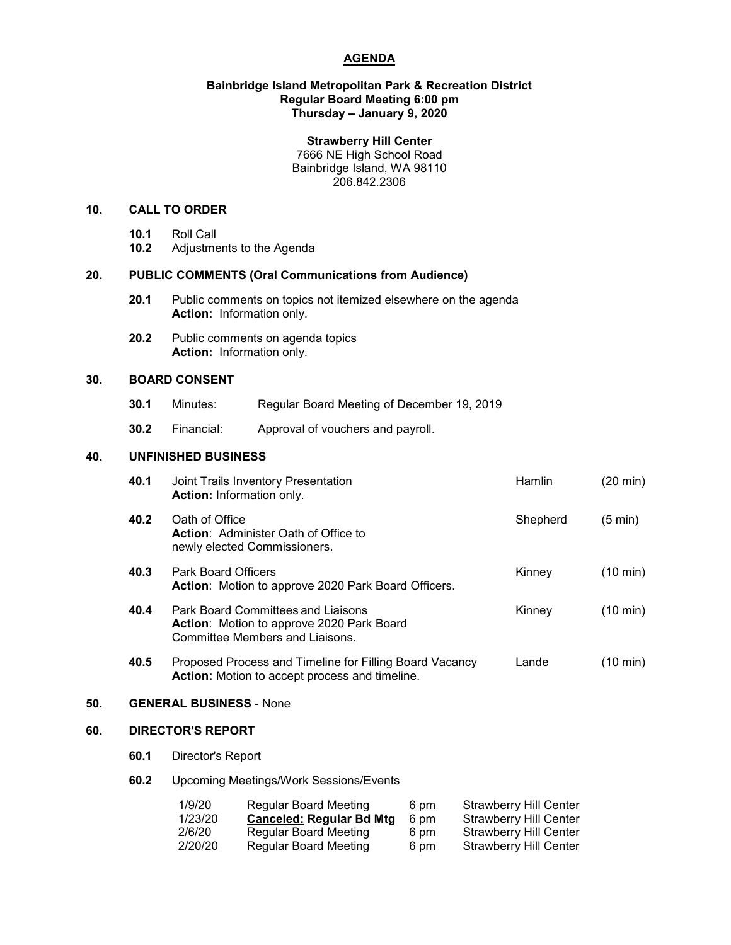## **AGENDA**

### **Bainbridge Island Metropolitan Park & Recreation District Regular Board Meeting 6:00 pm Thursday – January 9, 2020**

## **Strawberry Hill Center**

7666 NE High School Road Bainbridge Island, WA 98110 206.842.2306

## **10. CALL TO ORDER**

- **10.1** Roll Call
- **10.2** Adjustments to the Agenda

## **20. PUBLIC COMMENTS (Oral Communications from Audience)**

- **20.1** Public comments on topics not itemized elsewhere on the agenda **Action:** Information only.
- **20.2** Public comments on agenda topics **Action:** Information only.

## **30. BOARD CONSENT**

- **30.1** Minutes: Regular Board Meeting of December 19, 2019
- **30.2** Financial: Approval of vouchers and payroll.

## **40. UNFINISHED BUSINESS**

|     | 40.1                           | Joint Trails Inventory Presentation<br><b>Action:</b> Information only.                                                   | Hamlin   | $(20 \text{ min})$ |  |
|-----|--------------------------------|---------------------------------------------------------------------------------------------------------------------------|----------|--------------------|--|
|     | 40.2                           | Oath of Office<br><b>Action:</b> Administer Oath of Office to<br>newly elected Commissioners.                             | Shepherd | $(5 \text{ min})$  |  |
|     | 40.3                           | <b>Park Board Officers</b><br>Action: Motion to approve 2020 Park Board Officers.                                         | Kinney   | $(10 \text{ min})$ |  |
|     | 40.4                           | Park Board Committees and Liaisons<br><b>Action:</b> Motion to approve 2020 Park Board<br>Committee Members and Liaisons. | Kinney   | $(10 \text{ min})$ |  |
|     | 40.5                           | Proposed Process and Timeline for Filling Board Vacancy<br><b>Action:</b> Motion to accept process and timeline.          | Lande    | $(10 \text{ min})$ |  |
| 50. | <b>GENERAL BUSINESS - None</b> |                                                                                                                           |          |                    |  |
| 60. | <b>DIRECTOR'S REPORT</b>       |                                                                                                                           |          |                    |  |
|     | 60.1                           | Director's Report                                                                                                         |          |                    |  |
|     |                                |                                                                                                                           |          |                    |  |

# **60.2** Upcoming Meetings/Work Sessions/Events

| 1/9/20  | <b>Regular Board Meeting</b>    | 6 pm | <b>Strawberry Hill Center</b> |
|---------|---------------------------------|------|-------------------------------|
| 1/23/20 | <b>Canceled: Regular Bd Mtg</b> | 6 pm | <b>Strawberry Hill Center</b> |
| 2/6/20  | <b>Regular Board Meeting</b>    | 6 pm | <b>Strawberry Hill Center</b> |
| 2/20/20 | <b>Regular Board Meeting</b>    | 6 pm | <b>Strawberry Hill Center</b> |